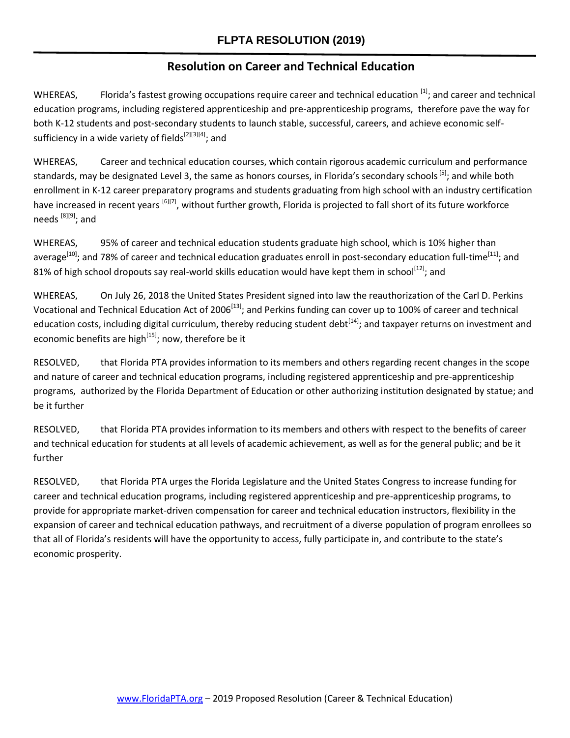## **Resolution on Career and Technical Education**

WHEREAS, Florida's fastest growing occupations require career and technical education [1]; and career and technical education programs, including registered apprenticeship and pre-apprenticeship programs, therefore pave the way for both K-12 students and post-secondary students to launch stable, successful, careers, and achieve economic selfsufficiency in a wide variety of fields<sup>[2][3][4]</sup>; and

WHEREAS, Career and technical education courses, which contain rigorous academic curriculum and performance standards, may be designated Level 3, the same as honors courses, in Florida's secondary schools<sup>[5]</sup>; and while both enrollment in K-12 career preparatory programs and students graduating from high school with an industry certification have increased in recent years [6][7], without further growth, Florida is projected to fall short of its future workforce needs [8][9]; and

WHEREAS, 95% of career and technical education students graduate high school, which is 10% higher than average<sup>[10]</sup>; and 78% of career and technical education graduates enroll in post-secondary education full-time<sup>[11]</sup>; and 81% of high school dropouts say real-world skills education would have kept them in school<sup>[12]</sup>; and

WHEREAS, On July 26, 2018 the United States President signed into law the reauthorization of the Carl D. Perkins Vocational and Technical Education Act of 2006<sup>[13]</sup>; and Perkins funding can cover up to 100% of career and technical education costs, including digital curriculum, thereby reducing student debt<sup>[14]</sup>; and taxpayer returns on investment and economic benefits are high<sup>[15]</sup>; now, therefore be it

RESOLVED, that Florida PTA provides information to its members and others regarding recent changes in the scope and nature of career and technical education programs, including registered apprenticeship and pre-apprenticeship programs, authorized by the Florida Department of Education or other authorizing institution designated by statue; and be it further

RESOLVED, that Florida PTA provides information to its members and others with respect to the benefits of career and technical education for students at all levels of academic achievement, as well as for the general public; and be it further

RESOLVED, that Florida PTA urges the Florida Legislature and the United States Congress to increase funding for career and technical education programs, including registered apprenticeship and pre-apprenticeship programs, to provide for appropriate market-driven compensation for career and technical education instructors, flexibility in the expansion of career and technical education pathways, and recruitment of a diverse population of program enrollees so that all of Florida's residents will have the opportunity to access, fully participate in, and contribute to the state's economic prosperity.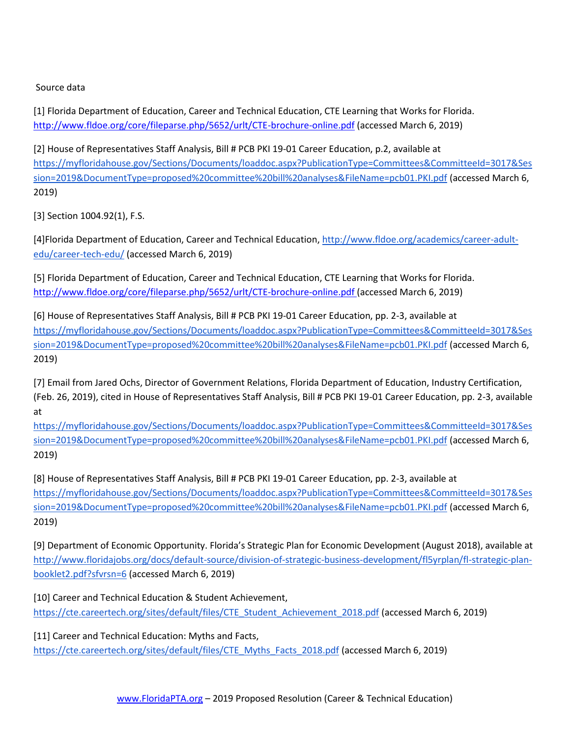Source data

[1] Florida Department of Education, Career and Technical Education, CTE Learning that Works for Florid[a.](http://www.fldoe.org/core/fileparse.php/5652/urlt/CTE-brochure-online.pdf) <http://www.fldoe.org/core/fileparse.php/5652/urlt/CTE-brochure-online.pdf> (accessed March 6, 2019)

[2] House of Representatives Staff Analysis, Bill # PCB PKI 19-01 Career Education, p.2, available a[t](https://myfloridahouse.gov/Sections/Documents/loaddoc.aspx?PublicationType=Committees&CommitteeId=3017&Session=2019&DocumentType=proposed%20committee%20bill%20analyses&FileName=pcb01.PKI.pdf) [https://myfloridahouse.gov/Sections/Documents/loaddoc.aspx?PublicationType=Committees&CommitteeId=3017&Ses](https://myfloridahouse.gov/Sections/Documents/loaddoc.aspx?PublicationType=Committees&CommitteeId=3017&Session=2019&DocumentType=proposed%20committee%20bill%20analyses&FileName=pcb01.PKI.pdf) [sion=2019&DocumentType=proposed%20committee%20bill%20analyses&FileName=pcb01.PKI.pdf](https://myfloridahouse.gov/Sections/Documents/loaddoc.aspx?PublicationType=Committees&CommitteeId=3017&Session=2019&DocumentType=proposed%20committee%20bill%20analyses&FileName=pcb01.PKI.pdf) (accessed March 6, 2019)

[3] Section 1004.92(1), F.S.

[4]Florida Department of Education, Career and Technical Education[,](http://www.fldoe.org/academics/career-adult-edu/career-tech-edu/) [http://www.fldoe.org/academics/career-adult](http://www.fldoe.org/academics/career-adult-edu/career-tech-edu/)[edu/career-tech-edu/](http://www.fldoe.org/academics/career-adult-edu/career-tech-edu/) (accessed March 6, 2019)

[5] Florida Department of Education, Career and Technical Education, CTE Learning that Works for Florid[a.](http://www.fldoe.org/core/fileparse.php/5652/urlt/CTE-brochure-online.pdf) <http://www.fldoe.org/core/fileparse.php/5652/urlt/CTE-brochure-online.pdf> (accessed March 6, 2019)

[6] House of Representatives Staff Analysis, Bill # PCB PKI 19-01 Career Education, pp. 2-3, available a[t](https://myfloridahouse.gov/Sections/Documents/loaddoc.aspx?PublicationType=Committees&CommitteeId=3017&Session=2019&DocumentType=proposed%20committee%20bill%20analyses&FileName=pcb01.PKI.pdf) [https://myfloridahouse.gov/Sections/Documents/loaddoc.aspx?PublicationType=Committees&CommitteeId=3017&Ses](https://myfloridahouse.gov/Sections/Documents/loaddoc.aspx?PublicationType=Committees&CommitteeId=3017&Session=2019&DocumentType=proposed%20committee%20bill%20analyses&FileName=pcb01.PKI.pdf) [sion=2019&DocumentType=proposed%20committee%20bill%20analyses&FileName=pcb01.PKI.pdf](https://myfloridahouse.gov/Sections/Documents/loaddoc.aspx?PublicationType=Committees&CommitteeId=3017&Session=2019&DocumentType=proposed%20committee%20bill%20analyses&FileName=pcb01.PKI.pdf) (accessed March 6, 2019)

[7] Email from Jared Ochs, Director of Government Relations, Florida Department of Education, Industry Certification, (Feb. 26, 2019), cited in House of Representatives Staff Analysis, Bill # PCB PKI 19-01 Career Education, pp. 2-3, available a[t](https://myfloridahouse.gov/Sections/Documents/loaddoc.aspx?PublicationType=Committees&CommitteeId=3017&Session=2019&DocumentType=proposed%20committee%20bill%20analyses&FileName=pcb01.PKI.pdf)

[https://myfloridahouse.gov/Sections/Documents/loaddoc.aspx?PublicationType=Committees&CommitteeId=3017&Ses](https://myfloridahouse.gov/Sections/Documents/loaddoc.aspx?PublicationType=Committees&CommitteeId=3017&Session=2019&DocumentType=proposed%20committee%20bill%20analyses&FileName=pcb01.PKI.pdf) [sion=2019&DocumentType=proposed%20committee%20bill%20analyses&FileName=pcb01.PKI.pdf](https://myfloridahouse.gov/Sections/Documents/loaddoc.aspx?PublicationType=Committees&CommitteeId=3017&Session=2019&DocumentType=proposed%20committee%20bill%20analyses&FileName=pcb01.PKI.pdf) (accessed March 6, 2019)

[8] House of Representatives Staff Analysis, Bill # PCB PKI 19-01 Career Education, pp. 2-3, available a[t](https://myfloridahouse.gov/Sections/Documents/loaddoc.aspx?PublicationType=Committees&CommitteeId=3017&Session=2019&DocumentType=proposed%20committee%20bill%20analyses&FileName=pcb01.PKI.pdf) [https://myfloridahouse.gov/Sections/Documents/loaddoc.aspx?PublicationType=Committees&CommitteeId=3017&Ses](https://myfloridahouse.gov/Sections/Documents/loaddoc.aspx?PublicationType=Committees&CommitteeId=3017&Session=2019&DocumentType=proposed%20committee%20bill%20analyses&FileName=pcb01.PKI.pdf) [sion=2019&DocumentType=proposed%20committee%20bill%20analyses&FileName=pcb01.PKI.pdf](https://myfloridahouse.gov/Sections/Documents/loaddoc.aspx?PublicationType=Committees&CommitteeId=3017&Session=2019&DocumentType=proposed%20committee%20bill%20analyses&FileName=pcb01.PKI.pdf) (accessed March 6, 2019)

[9] Department of Economic Opportunity. Florida's Strategic Plan for Economic Development (August 2018), available a[t](http://www.floridajobs.org/docs/default-source/division-of-strategic-business-development/fl5yrplan/fl-strategic-plan-booklet2.pdf?sfvrsn=6) [http://www.floridajobs.org/docs/default-source/division-of-strategic-business-development/fl5yrplan/fl-strategic-plan](http://www.floridajobs.org/docs/default-source/division-of-strategic-business-development/fl5yrplan/fl-strategic-plan-booklet2.pdf?sfvrsn=6)[booklet2.pdf?sfvrsn=6](http://www.floridajobs.org/docs/default-source/division-of-strategic-business-development/fl5yrplan/fl-strategic-plan-booklet2.pdf?sfvrsn=6) (accessed March 6, 2019)

[10] Career and Technical Education & Student Achievement[,](https://cte.careertech.org/sites/default/files/CTE_Student_Achievement_2018.pdf) [https://cte.careertech.org/sites/default/files/CTE\\_Student\\_Achievement\\_2018.pdf](https://cte.careertech.org/sites/default/files/CTE_Student_Achievement_2018.pdf) (accessed March 6, 2019)

[11] Career and Technical Education: Myths and Facts[,](https://cte.careertech.org/sites/default/files/CTE_Myths_Facts_2018.pdf) [https://cte.careertech.org/sites/default/files/CTE\\_Myths\\_Facts\\_2018.pdf](https://cte.careertech.org/sites/default/files/CTE_Myths_Facts_2018.pdf) (accessed March 6, 2019)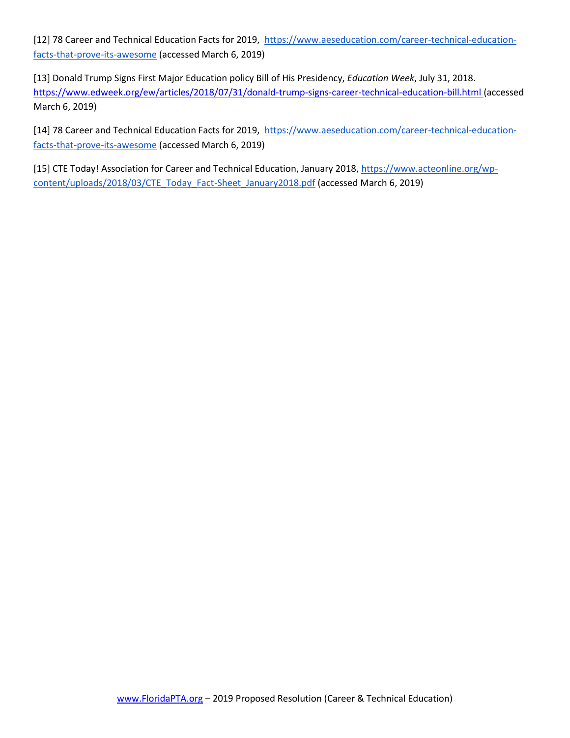[12] 78 Career and Technical Education Facts for 2019, [https://www.aeseducation.com/career-technical-education](https://www.aeseducation.com/career-technical-education-facts-that-prove-its-awesome)[facts-that-prove-its-awesome](https://www.aeseducation.com/career-technical-education-facts-that-prove-its-awesome) (accessed March 6, 2019)

[13] Donald Trump Signs First Major Education policy Bill of His Presidency, *Education Week*, July 31, 2018[.](https://www.edweek.org/ew/articles/2018/07/31/donald-trump-signs-career-technical-education-bill.html) <https://www.edweek.org/ew/articles/2018/07/31/donald-trump-signs-career-technical-education-bill.html> (accessed March 6, 2019)

[14] 78 Career and Technical Education Facts for 2019[, https://www.aeseducation.com/career-technical-education](https://www.aeseducation.com/career-technical-education-facts-that-prove-its-awesome)[facts-that-prove-its-awesome](https://www.aeseducation.com/career-technical-education-facts-that-prove-its-awesome) (accessed March 6, 2019)

[15] CTE Today! Association for Career and Technical Education[,](https://www.acteonline.org/wp-content/uploads/2018/03/CTE_Today_Fact-Sheet_January2018.pdf) January 2018, [https://www.acteonline.org/wp](https://www.acteonline.org/wp-content/uploads/2018/03/CTE_Today_Fact-Sheet_January2018.pdf)[content/uploads/2018/03/CTE\\_Today\\_Fact-Sheet\\_January2018.pdf](https://www.acteonline.org/wp-content/uploads/2018/03/CTE_Today_Fact-Sheet_January2018.pdf) (accessed March 6, 2019)